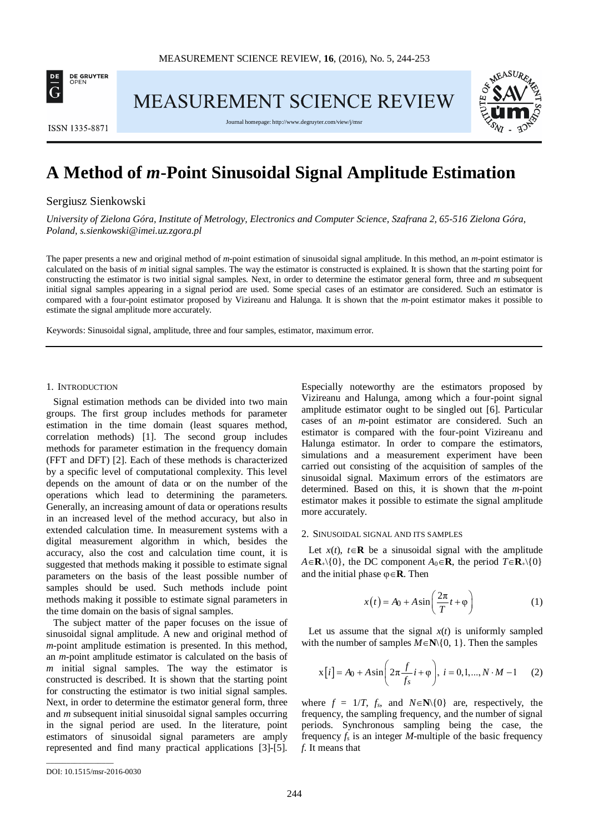

MEASUREMENT SCIENCE REVIEW



**ISSN 1335-8871** 

Journal homepage[: http://www.degruyter.com/view/j/msr](http://www.degruyter.com/view/j/msr)

# **A Method of** *m***-Point Sinusoidal Signal Amplitude Estimation**

Sergiusz Sienkowski

*University of Zielona Góra, Institute of Metrology, Electronics and Computer Science, Szafrana 2, 65-516 Zielona Góra, Poland, s.sienkowski@imei.uz.zgora.pl*

The paper presents a new and original method of *m*-point estimation of sinusoidal signal amplitude. In this method, an *m*-point estimator is calculated on the basis of *m* initial signal samples. The way the estimator is constructed is explained. It is shown that the starting point for constructing the estimator is two initial signal samples. Next, in order to determine the estimator general form, three and *m* subsequent initial signal samples appearing in a signal period are used. Some special cases of an estimator are considered. Such an estimator is compared with a four-point estimator proposed by Vizireanu and Halunga. It is shown that the *m*-point estimator makes it possible to estimate the signal amplitude more accurately.

Keywords: Sinusoidal signal, amplitude, three and four samples, estimator, maximum error.

### 1. INTRODUCTION

Signal estimation methods can be divided into two main groups. The first group includes methods for parameter estimation in the time domain (least squares method, correlation methods) [1]. The second group includes methods for parameter estimation in the frequency domain (FFT and DFT) [2]. Each of these methods is characterized by a specific level of computational complexity. This level depends on the amount of data or on the number of the operations which lead to determining the parameters. Generally, an increasing amount of data or operations results in an increased level of the method accuracy, but also in extended calculation time. In measurement systems with a digital measurement algorithm in which, besides the accuracy, also the cost and calculation time count, it is suggested that methods making it possible to estimate signal parameters on the basis of the least possible number of samples should be used. Such methods include point methods making it possible to estimate signal parameters in the time domain on the basis of signal samples.

The subject matter of the paper focuses on the issue of sinusoidal signal amplitude. A new and original method of *m*-point amplitude estimation is presented. In this method, an *m*-point amplitude estimator is calculated on the basis of *m* initial signal samples. The way the estimator is constructed is described. It is shown that the starting point for constructing the estimator is two initial signal samples. Next, in order to determine the estimator general form, three and *m* subsequent initial sinusoidal signal samples occurring in the signal period are used. In the literature, point estimators of sinusoidal signal parameters are amply represented and find many practical applications [3]-[5].

Especially noteworthy are the estimators proposed by Vizireanu and Halunga, among which a four-point signal amplitude estimator ought to be singled out [6]. Particular cases of an *m*-point estimator are considered. Such an estimator is compared with the four-point Vizireanu and Halunga estimator. In order to compare the estimators, simulations and a measurement experiment have been carried out consisting of the acquisition of samples of the sinusoidal signal. Maximum errors of the estimators are determined. Based on this, it is shown that the *m*-point estimator makes it possible to estimate the signal amplitude more accurately.

### 2. SINUSOIDAL SIGNAL AND ITS SAMPLES

Let  $x(t)$ ,  $t \in \mathbb{R}$  be a sinusoidal signal with the amplitude  $A \in \mathbf{R}_+ \setminus \{0\}$ , the DC component  $A_0 \in \mathbf{R}$ , the period  $T \in \mathbf{R}_+ \setminus \{0\}$ and the initial phase ϕ∈**R**. Then

$$
x(t) = A_0 + A \sin\left(\frac{2\pi}{T}t + \varphi\right)
$$
 (1)

Let us assume that the signal  $x(t)$  is uniformly sampled with the number of samples  $M \in \mathbb{N} \setminus \{0, 1\}$ . Then the samples

$$
x[i] = A_0 + A \sin\left(2\pi \frac{f}{f_s} i + \varphi\right), \ i = 0, 1, ..., N \cdot M - 1 \tag{2}
$$

where  $f = 1/T$ ,  $f_s$ , and  $N \in \mathbb{N} \setminus \{0\}$  are, respectively, the frequency, the sampling frequency, and the number of signal periods. Synchronous sampling being the case, the frequency  $f_s$  is an integer *M*-multiple of the basic frequency *f.* It means that

\_\_\_\_\_\_\_\_\_\_\_\_\_\_\_\_\_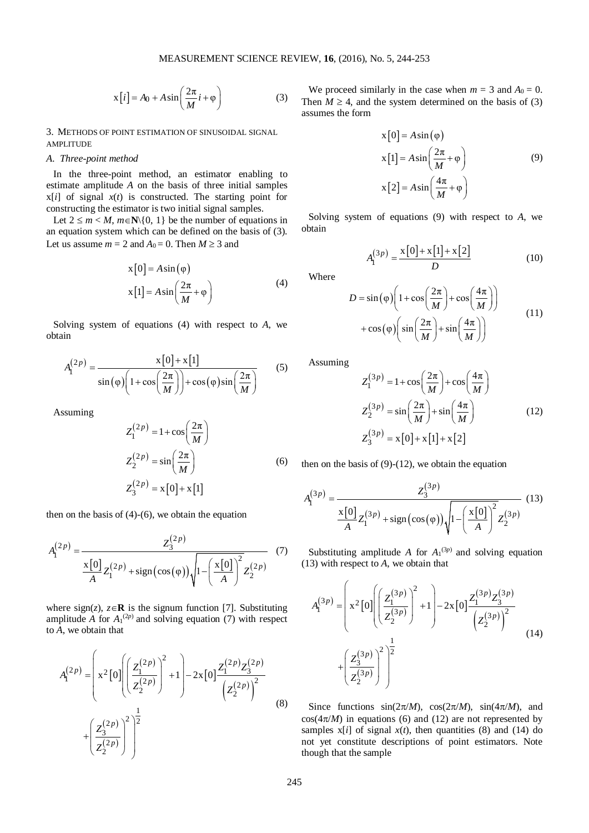$$
x[i] = A_0 + A\sin\left(\frac{2\pi}{M}i + \varphi\right)
$$
 (3)

3. METHODS OF POINT ESTIMATION OF SINUSOIDAL SIGNAL AMPLITUDE

## *A. Three-point method*

In the three-point method, an estimator enabling to estimate amplitude *A* on the basis of three initial samples  $x[i]$  of signal  $x(t)$  is constructed. The starting point for constructing the estimator is two initial signal samples.

Let  $2 \le m < M$ ,  $m \in \mathbb{N} \setminus \{0, 1\}$  be the number of equations in an equation system which can be defined on the basis of (3). Let us assume  $m = 2$  and  $A_0 = 0$ . Then  $M \ge 3$  and

$$
x[0] = A\sin(\varphi)
$$
  
\n
$$
x[1] = A\sin\left(\frac{2\pi}{M} + \varphi\right)
$$
\n(4)

Solving system of equations (4) with respect to *A*, we obtain

$$
A_{I}^{(2p)} = \frac{x[0] + x[1]}{\sin(\varphi) \left(1 + \cos\left(\frac{2\pi}{M}\right)\right) + \cos(\varphi)\sin\left(\frac{2\pi}{M}\right)}\tag{5}
$$

Assuming

$$
Z_1^{(2p)} = 1 + \cos\left(\frac{2\pi}{M}\right)
$$
  
\n
$$
Z_2^{(2p)} = \sin\left(\frac{2\pi}{M}\right)
$$
  
\n
$$
Z_3^{(2p)} = x[0] + x[1]
$$
\n(6)

then on the basis of  $(4)-(6)$ , we obtain the equation

$$
A_{1}^{(2p)} = \frac{Z_{3}^{(2p)}}{\frac{\mathbf{x}[0]}{A}Z_{1}^{(2p)} + \text{sign}(\cos(\varphi))\sqrt{1 - \left(\frac{\mathbf{x}[0]}{A}\right)^{2}Z_{2}^{(2p)}}}
$$
(7)

where sign(*z*),  $z \in \mathbf{R}$  is the signum function [7]. Substituting amplitude *A* for  $A_1^{(2p)}$  and solving equation (7) with respect to *A*, we obtain that

$$
A_1^{(2p)} = \left(x^2[0] \left(\frac{Z_1^{(2p)}}{Z_2^{(2p)}}\right)^2 + 1\right) - 2x[0] \frac{Z_1^{(2p)}Z_3^{(2p)}}{\left(Z_2^{(2p)}\right)^2} + \left(\frac{Z_3^{(2p)}}{Z_2^{(2p)}}\right)^2\right)
$$
\n(8)

We proceed similarly in the case when  $m = 3$  and  $A_0 = 0$ . Then  $M \geq 4$ , and the system determined on the basis of (3) assumes the form

$$
x[0] = A \sin(\varphi)
$$
  
\n
$$
x[1] = A \sin\left(\frac{2\pi}{M} + \varphi\right)
$$
  
\n
$$
x[2] = A \sin\left(\frac{4\pi}{M} + \varphi\right)
$$
\n(9)

Solving system of equations (9) with respect to *A*, we obtain

$$
A_{1}^{(3p)} = \frac{x[0] + x[1] + x[2]}{D}
$$
 (10)

Where

$$
D = \sin(\varphi) \left( 1 + \cos\left(\frac{2\pi}{M}\right) + \cos\left(\frac{4\pi}{M}\right) \right) + \cos(\varphi) \left( \sin\left(\frac{2\pi}{M}\right) + \sin\left(\frac{4\pi}{M}\right) \right)
$$
(11)

Assuming

$$
Z_1^{(3p)} = 1 + \cos\left(\frac{2\pi}{M}\right) + \cos\left(\frac{4\pi}{M}\right)
$$
  

$$
Z_2^{(3p)} = \sin\left(\frac{2\pi}{M}\right) + \sin\left(\frac{4\pi}{M}\right)
$$
  

$$
Z_3^{(3p)} = x[0] + x[1] + x[2]
$$
 (12)

then on the basis of  $(9)-(12)$ , we obtain the equation

$$
A_{1}^{(3p)} = \frac{Z_{3}^{(3p)}}{\frac{\mathbf{x}[0]}{A}Z_{1}^{(3p)} + \text{sign}(\cos(\varphi))\sqrt{1 - \left(\frac{\mathbf{x}[0]}{A}\right)^{2}Z_{2}^{(3p)}}}
$$
(13)

Substituting amplitude  $A$  for  $A_1^{(3p)}$  and solving equation (13) with respect to *A*, we obtain that

$$
A_1^{(3p)} = \left(x^2[0] \left(\frac{Z_1^{(3p)}}{Z_2^{(3p)}}\right)^2 + 1\right) - 2x[0] \frac{Z_1^{(3p)}Z_3^{(3p)}}{\left(Z_2^{(3p)}\right)^2} + \left(\frac{Z_3^{(3p)}}{Z_2^{(3p)}}\right)^2\right)
$$
(14)

Since functions  $sin(2\pi/M)$ ,  $cos(2\pi/M)$ ,  $sin(4\pi/M)$ , and  $cos(4\pi/M)$  in equations (6) and (12) are not represented by samples  $x[i]$  of signal  $x(t)$ , then quantities (8) and (14) do not yet constitute descriptions of point estimators. Note though that the sample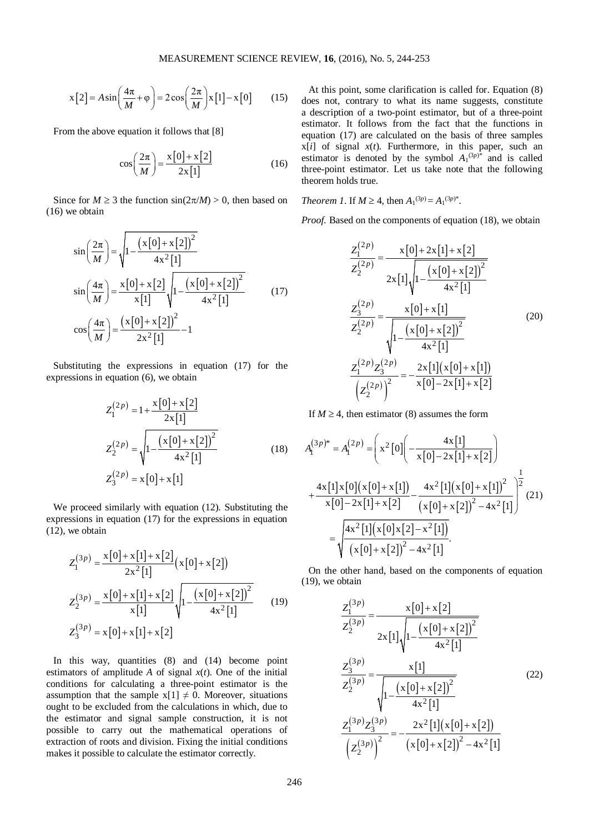$$
x[2] = A\sin\left(\frac{4\pi}{M} + \varphi\right) = 2\cos\left(\frac{2\pi}{M}\right)x[1] - x[0] \tag{15}
$$

From the above equation it follows that [8]

$$
\cos\left(\frac{2\pi}{M}\right) = \frac{x\left[0\right] + x\left[2\right]}{2x\left[1\right]}
$$
\n(16)

Since for  $M \ge 3$  the function  $\sin(2\pi/M) > 0$ , then based on (16) we obtain

$$
\sin\left(\frac{2\pi}{M}\right) = \sqrt{1 - \frac{(x[0] + x[2])^2}{4x^2[1]}}
$$
\n
$$
\sin\left(\frac{4\pi}{M}\right) = \frac{x[0] + x[2]}{x[1]} \sqrt{1 - \frac{(x[0] + x[2])^2}{4x^2[1]}} \qquad (17)
$$
\n
$$
\cos\left(\frac{4\pi}{M}\right) = \frac{(x[0] + x[2])^2}{2x^2[1]} - 1
$$

Substituting the expressions in equation (17) for the expressions in equation (6), we obtain

$$
Z_1^{(2p)} = 1 + \frac{x[0] + x[2]}{2x[1]}
$$
  
\n
$$
Z_2^{(2p)} = \sqrt{1 - \frac{(x[0] + x[2])^2}{4x^2[1]}}
$$
  
\n
$$
Z_3^{(2p)} = x[0] + x[1]
$$
  
\n(18)

We proceed similarly with equation (12). Substituting the expressions in equation (17) for the expressions in equation (12), we obtain

$$
Z_1^{(3p)} = \frac{x[0] + x[1] + x[2]}{2x^2[1]} (x[0] + x[2])
$$
  
\n
$$
Z_2^{(3p)} = \frac{x[0] + x[1] + x[2]}{x[1]} \sqrt{1 - \frac{(x[0] + x[2])^2}{4x^2[1]}} \qquad (19)
$$
  
\n
$$
Z_3^{(3p)} = x[0] + x[1] + x[2]
$$

In this way, quantities (8) and (14) become point estimators of amplitude *A* of signal  $x(t)$ . One of the initial conditions for calculating a three-point estimator is the assumption that the sample  $x[1] \neq 0$ . Moreover, situations ought to be excluded from the calculations in which, due to the estimator and signal sample construction, it is not possible to carry out the mathematical operations of extraction of roots and division. Fixing the initial conditions makes it possible to calculate the estimator correctly.

At this point, some clarification is called for. Equation (8) does not, contrary to what its name suggests, constitute a description of a two-point estimator, but of a three-point estimator. It follows from the fact that the functions in equation (17) are calculated on the basis of three samples  $x[i]$  of signal  $x(t)$ . Furthermore, in this paper, such an estimator is denoted by the symbol  $A_1^{(3p)*}$  and is called three-point estimator. Let us take note that the following theorem holds true.

*Theorem 1*. If  $M \geq 4$ , then  $A_1^{(3p)} = A_1^{(3p)^*}$ .

*Proof.* Based on the components of equation (18), we obtain

$$
\frac{Z_1^{(2p)}}{Z_2^{(2p)}} = \frac{x[0]+2x[1]+x[2]}{2x[1]\sqrt{1-\frac{(x[0]+x[2])^2}{4x^2[1]}}}
$$
\n
$$
\frac{Z_3^{(2p)}}{Z_2^{(2p)}} = \frac{x[0]+x[1]}{\sqrt{1-\frac{(x[0]+x[2])^2}{4x^2[1]}}}
$$
\n
$$
\frac{Z_1^{(2p)}Z_3^{(2p)}}{\left(Z_2^{(2p)}\right)^2} = -\frac{2x[1](x[0]+x[1])}{x[0]-2x[1]+x[2]}
$$
\n(20)

If  $M \geq 4$ , then estimator (8) assumes the form

$$
A_1^{(3p)*} = A_1^{(2p)} = \left(x^2[0]\left(-\frac{4x[1]}{x[0]-2x[1]+x[2]}\right) + \frac{4x[1]x[0](x[0]+x[1])}{x[0]-2x[1]+x[2]} - \frac{4x^2[1](x[0]+x[1])^2}{(x[0]+x[2])^2 - 4x^2[1]}\right)^{\frac{1}{2}} (21)
$$

$$
= \sqrt{\frac{4x^2[1](x[0]x[2]-x^2[1])}{(x[0]+x[2])^2 - 4x^2[1]}}.
$$

On the other hand, based on the components of equation (19), we obtain

$$
\frac{Z_1^{(3p)}}{Z_2^{(3p)}} = \frac{x[0] + x[2]}{2x[1]\sqrt{1 - \frac{(x[0] + x[2])^2}{4x^2[1]}}}
$$
\n
$$
\frac{Z_3^{(3p)}}{Z_2^{(3p)}} = \frac{x[1]}{\sqrt{1 - \frac{(x[0] + x[2])^2}{4x^2[1]}}}
$$
\n
$$
\frac{Z_1^{(3p)}Z_3^{(3p)}}{\left(Z_2^{(3p)}\right)^2} = -\frac{2x^2[1](x[0] + x[2])}{(x[0] + x[2])^2 - 4x^2[1]}
$$
\n(22)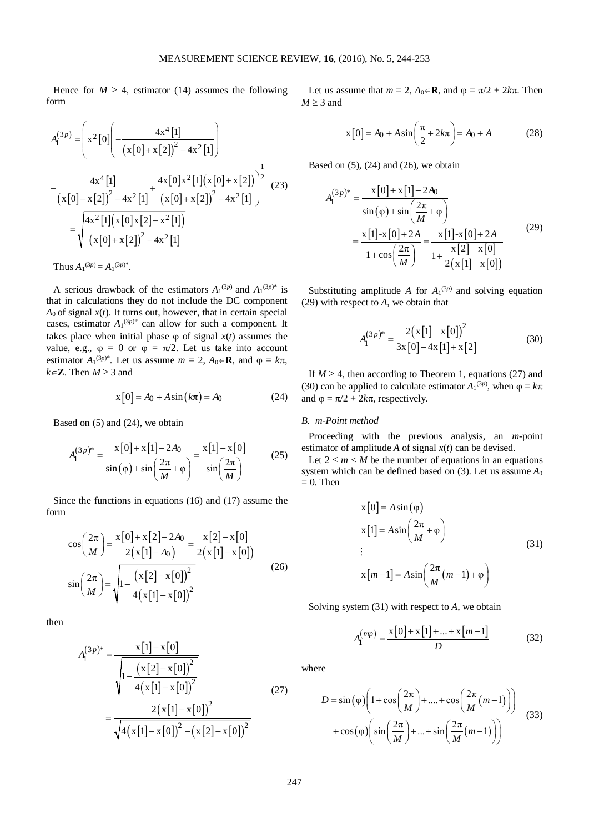Hence for  $M \geq 4$ , estimator (14) assumes the following form

$$
A_{I}^{(3p)} = \left(x^2[0]\left(-\frac{4x^4[1]}{(x[0]+x[2])^2 - 4x^2[1]}\right)\right)
$$

$$
-\frac{4x^4[1]}{(x[0]+x[2])^2 - 4x^2[1]} + \frac{4x[0]x^2[1](x[0]+x[2])}{(x[0]+x[2])^2 - 4x^2[1]}\right)^{\frac{1}{2}}
$$
(23)
$$
= \sqrt{\frac{4x^2[1](x[0]x[2]-x^2[1])}{(x[0]+x[2])^2 - 4x^2[1]}}
$$

Thus  $A_1^{(3p)} = A_1^{(3p)^*}.$ 

A serious drawback of the estimators  $A_1^{(3p)}$  and  $A_1^{(3p)*}$  is that in calculations they do not include the DC component  $A_0$  of signal  $x(t)$ . It turns out, however, that in certain special cases, estimator  $A_1^{(3p)*}$  can allow for such a component. It takes place when initial phase  $\varphi$  of signal  $x(t)$  assumes the value, e.g.,  $\varphi = 0$  or  $\varphi = \pi/2$ . Let us take into account estimator  $A_1^{(3p)^*}$ . Let us assume  $m = 2$ ,  $A_0 \in \mathbb{R}$ , and  $\varphi = k\pi$ ,  $k ∈ **Z**$ . Then *M* ≥ 3 and

$$
x[0] = A_0 + A\sin(k\pi) = A_0
$$
 (24)

Based on (5) and (24), we obtain

$$
A_1^{(3p)*} = \frac{x[0] + x[1] - 2A_0}{\sin(\varphi) + \sin(\frac{2\pi}{M} + \varphi)} = \frac{x[1] - x[0]}{\sin(\frac{2\pi}{M})}
$$
(25)

Since the functions in equations (16) and (17) assume the form

$$
\cos\left(\frac{2\pi}{M}\right) = \frac{x[0] + x[2] - 2A_0}{2(x[1] - A_0)} = \frac{x[2] - x[0]}{2(x[1] - x[0])}
$$

$$
\sin\left(\frac{2\pi}{M}\right) = \sqrt{1 - \frac{(x[2] - x[0])^2}{4(x[1] - x[0])^2}}
$$
(26)

then

$$
A_{1}^{(3p)*} = \frac{x[1] - x[0]}{\sqrt{1 - \frac{(x[2] - x[0])^{2}}{4(x[1] - x[0])^{2}}}}
$$
  
= 
$$
\frac{2(x[1] - x[0])^{2}}{\sqrt{4(x[1] - x[0])^{2} - (x[2] - x[0])^{2}}}
$$
(27)

Let us assume that  $m = 2$ ,  $A_0 \in \mathbb{R}$ , and  $\varphi = \pi/2 + 2k\pi$ . Then  $M \geq 3$  and

$$
x[0] = A_0 + A\sin\left(\frac{\pi}{2} + 2k\pi\right) = A_0 + A
$$
 (28)

Based on  $(5)$ ,  $(24)$  and  $(26)$ , we obtain

$$
A_1^{(3p)*} = \frac{x[0] + x[1] - 2A_0}{\sin(\varphi) + \sin(\frac{2\pi}{M} + \varphi)}
$$
  
= 
$$
\frac{x[1] - x[0] + 2A}{1 + \cos(\frac{2\pi}{M})} = \frac{x[1] - x[0] + 2A}{1 + \frac{x[2] - x[0]}{2(x[1] - x[0])}}
$$
(29)

Substituting amplitude *A* for  $A_1^{(3p)}$  and solving equation (29) with respect to *A*, we obtain that

$$
A_{\mathbf{I}}^{(3p)*} = \frac{2(\mathbf{x}[1] - \mathbf{x}[0])^2}{3\mathbf{x}[0] - 4\mathbf{x}[1] + \mathbf{x}[2]}
$$
(30)

If  $M \geq 4$ , then according to Theorem 1, equations (27) and (30) can be applied to calculate estimator  $A_1^{(3p)}$ , when  $\varphi = k\pi$ and  $\varphi = \pi/2 + 2k\pi$ , respectively.

## *B. m-Point method*

Proceeding with the previous analysis, an *m*-point estimator of amplitude *A* of signal *x*(*t*) can be devised.

Let  $2 \le m < M$  be the number of equations in an equations system which can be defined based on (3). Let us assume *A*<sup>0</sup>  $= 0$ . Then

$$
x[0] = A \sin(\varphi)
$$
  
\n
$$
x[1] = A \sin\left(\frac{2\pi}{M} + \varphi\right)
$$
  
\n
$$
\vdots
$$
  
\n
$$
x[m-1] = A \sin\left(\frac{2\pi}{M}(m-1) + \varphi\right)
$$
\n(31)

Solving system (31) with respect to *A*, we obtain

$$
A_{\rm I}^{(mp)} = \frac{x[0] + x[1] + ... + x[m-1]}{D} \tag{32}
$$

where

$$
D = \sin(\varphi) \left( 1 + \cos\left(\frac{2\pi}{M}\right) + \dots + \cos\left(\frac{2\pi}{M}(m-1)\right) \right)
$$
  
+  $\cos(\varphi) \left( \sin\left(\frac{2\pi}{M}\right) + \dots + \sin\left(\frac{2\pi}{M}(m-1)\right) \right)$  (33)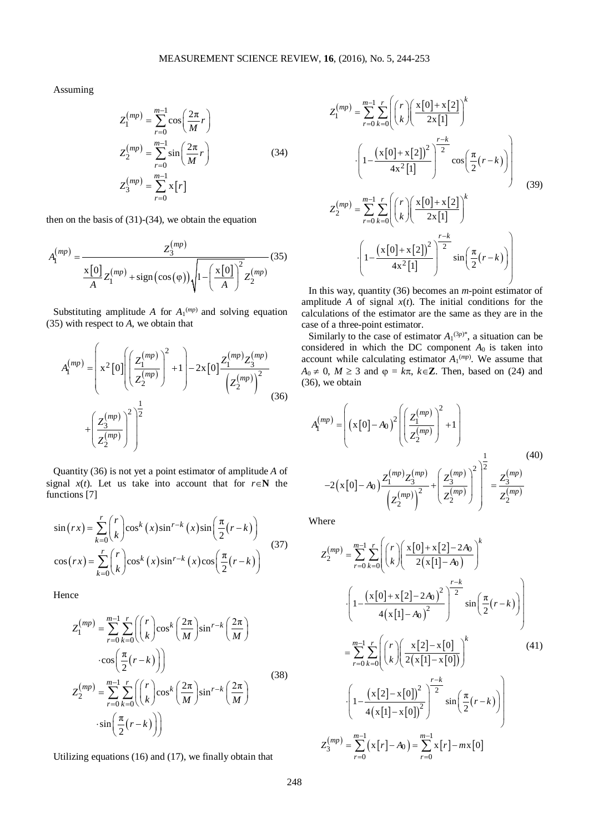Assuming

$$
Z_1^{(mp)} = \sum_{r=0}^{m-1} \cos\left(\frac{2\pi}{M}r\right)
$$
  
\n
$$
Z_2^{(mp)} = \sum_{r=0}^{m-1} \sin\left(\frac{2\pi}{M}r\right)
$$
  
\n
$$
Z_3^{(mp)} = \sum_{r=0}^{m-1} x[r]
$$
\n(34)

then on the basis of  $(31)-(34)$ , we obtain the equation

$$
A_1^{(mp)} = \frac{Z_3^{(mp)}}{\frac{x[0]}{A}Z_1^{(mp)} + \text{sign}(\cos(\varphi))\sqrt{1 - \left(\frac{x[0]}{A}\right)^2}Z_2^{(mp)}}(35)
$$

Substituting amplitude *A* for  $A_1^{(mp)}$  and solving equation (35) with respect to *A*, we obtain that

$$
A_1^{(mp)} = \left(x^2[0] \left( \frac{Z_1^{(mp)}}{Z_2^{(mp)}} \right)^2 + 1 \right) - 2x[0] \frac{Z_1^{(mp)} Z_3^{(mp)}}{\left(Z_2^{(mp)}\right)^2} + \left(\frac{Z_3^{(mp)}}{Z_2^{(mp)}} \right)^2 \right)
$$
(36)

Quantity (36) is not yet a point estimator of amplitude *A* of signal  $x(t)$ . Let us take into account that for  $r \in \mathbb{N}$  the functions [7]

$$
\sin(rx) = \sum_{k=0}^{r} {r \choose k} \cos^{k}(x) \sin^{r-k}(x) \sin\left(\frac{\pi}{2}(r-k)\right)
$$
  
\n
$$
\cos(rx) = \sum_{k=0}^{r} {r \choose k} \cos^{k}(x) \sin^{r-k}(x) \cos\left(\frac{\pi}{2}(r-k)\right)
$$
\n(37)

Hence

$$
Z_{1}^{(mp)} = \sum_{r=0}^{m-1} \sum_{k=0}^{r} \left( \binom{r}{k} \cos^{k} \left( \frac{2\pi}{M} \right) \sin^{r-k} \left( \frac{2\pi}{M} \right) \cdots \cos \left( \frac{\pi}{2} (r - k) \right) \right)
$$
  

$$
Z_{2}^{(mp)} = \sum_{r=0}^{m-1} \sum_{k=0}^{r} \left( \binom{r}{k} \cos^{k} \left( \frac{2\pi}{M} \right) \sin^{r-k} \left( \frac{2\pi}{M} \right) \cdots \sin \left( \frac{\pi}{2} (r - k) \right) \right)
$$
(38)

Utilizing equations (16) and (17), we finally obtain that

$$
Z_{1}^{(mp)} = \sum_{r=0}^{m-1} \sum_{k=0}^{r} \left( \binom{r}{k} \left( \frac{x[0]+x[2]}{2x[1]} \right)^{k} + \left( 1 - \frac{\left( x[0]+x[2] \right)^{2}}{4x^{2}[1]} \right)^{\frac{r-k}{2}} \cos \left( \frac{\pi}{2} (r-k) \right) \right)
$$
  

$$
Z_{2}^{(mp)} = \sum_{r=0}^{m-1} \sum_{k=0}^{r} \left( \binom{r}{k} \left( \frac{x[0]+x[2]}{2x[1]} \right)^{k} + \left( 1 - \frac{\left( x[0]+x[2] \right)^{2}}{4x^{2}[1]} \right)^{\frac{r-k}{2}} \sin \left( \frac{\pi}{2} (r-k) \right) \right)
$$
(39)

In this way, quantity (36) becomes an *m*-point estimator of amplitude  $A$  of signal  $x(t)$ . The initial conditions for the calculations of the estimator are the same as they are in the case of a three-point estimator.

Similarly to the case of estimator  $A_1^{(3p)^*}$ , a situation can be considered in which the DC component  $A_0$  is taken into account while calculating estimator  $A_1^{(mp)}$ . We assume that  $A_0 \neq 0$ ,  $M \geq 3$  and  $\varphi = k\pi$ ,  $k \in \mathbb{Z}$ . Then, based on (24) and (36), we obtain

$$
A_{I}^{(mp)} = \left( (x[0] - A_{0})^{2} \left( \frac{Z_{I}^{(mp)}}{Z_{2}^{(mp)}} \right)^{2} + 1 \right)
$$
  
-2(x[0] - A\_{0}) \frac{Z\_{I}^{(mp)} Z\_{3}^{(mp)}}{(Z\_{2}^{(mp)})} + \left( \frac{Z\_{3}^{(mp)}}{Z\_{2}^{(mp)}} \right)^{2} \right)^{\frac{1}{2}} = \frac{Z\_{3}^{(mp)}}{Z\_{2}^{(mp)}} (40)

Where

$$
Z_{2}^{(mp)} = \sum_{r=0}^{m-1} \sum_{k=0}^{r} \left( {r \choose k} \left( \frac{x[0]+x[2]-2A_{0}}{2(x[1]-A_{0})} \right)^{k} \right)
$$

$$
\cdot \left( 1 - \frac{(x[0]+x[2]-2A_{0})^{2}}{4(x[1]-A_{0})^{2}} \right)^{\frac{r-k}{2}} \sin \left( \frac{\pi}{2}(r-k) \right)
$$

$$
= \sum_{r=0}^{m-1} \sum_{k=0}^{r} \left( {r \choose k} \left( \frac{x[2]-x[0]}{2(x[1]-x[0])} \right)^{k} \right)
$$
(41)
$$
\cdot \left( 1 - \frac{(x[2]-x[0])^{2}}{4(x[1]-x[0])^{2}} \right)^{\frac{r-k}{2}} \sin \left( \frac{\pi}{2}(r-k) \right)
$$

$$
Z_{3}^{(mp)} = \sum_{r=0}^{m-1} (x[r]-A_{0}) = \sum_{r=0}^{m-1} x[r]-mx[0]
$$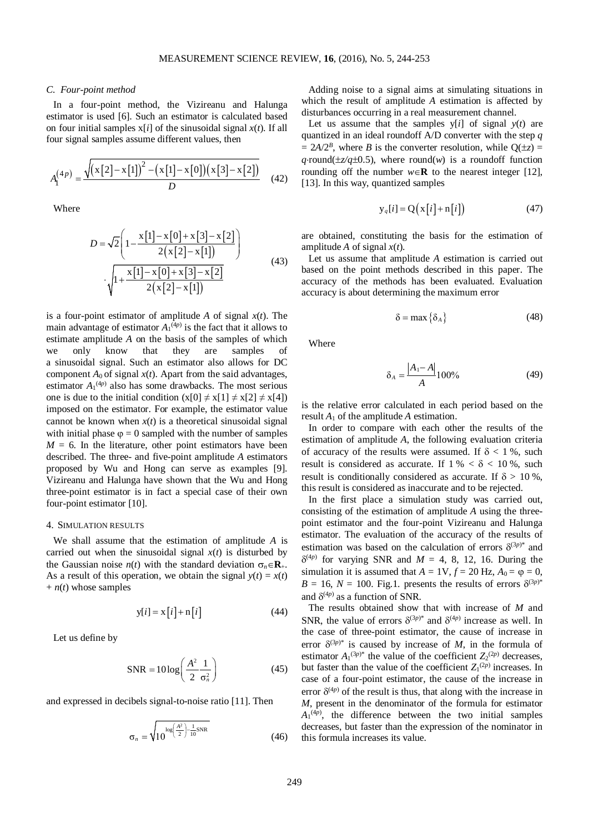### *C. Four-point method*

In a four-point method, the Vizireanu and Halunga estimator is used [6]. Such an estimator is calculated based on four initial samples  $x[i]$  of the sinusoidal signal  $x(t)$ . If all four signal samples assume different values, then

$$
A_1^{(4p)} = \frac{\sqrt{(x[2]-x[1])^2 - (x[1]-x[0])(x[3]-x[2])}}{D}
$$
 (42)

Where

$$
D = \sqrt{2} \left( 1 - \frac{x[1] - x[0] + x[3] - x[2]}{2(x[2] - x[1])} \right)
$$
  

$$
\sqrt{1 + \frac{x[1] - x[0] + x[3] - x[2]}{2(x[2] - x[1])}}
$$
(43)

is a four-point estimator of amplitude  $A$  of signal  $x(t)$ . The main advantage of estimator  $A_1^{(4p)}$  is the fact that it allows to estimate amplitude *A* on the basis of the samples of which we only know that they are samples of a sinusoidal signal. Such an estimator also allows for DC component  $A_0$  of signal  $x(t)$ . Apart from the said advantages, estimator  $A_1^{(4p)}$  also has some drawbacks. The most serious one is due to the initial condition  $(x[0] \neq x[1] \neq x[2] \neq x[4])$ imposed on the estimator. For example, the estimator value cannot be known when  $x(t)$  is a theoretical sinusoidal signal with initial phase  $\varphi = 0$  sampled with the number of samples  $M = 6$ . In the literature, other point estimators have been described. The three- and five-point amplitude *A* estimators proposed by Wu and Hong can serve as examples [9]. Vizireanu and Halunga have shown that the Wu and Hong three-point estimator is in fact a special case of their own four-point estimator [10].

#### 4. SIMULATION RESULTS

We shall assume that the estimation of amplitude *A* is carried out when the sinusoidal signal  $x(t)$  is disturbed by the Gaussian noise  $n(t)$  with the standard deviation  $\sigma_n \in \mathbb{R}_+$ . As a result of this operation, we obtain the signal  $y(t) = x(t)$  $+ n(t)$  whose samples

$$
y[i] = x[i] + n[i] \tag{44}
$$

Let us define by

$$
SNR = 10 \log \left( \frac{A^2}{2} \frac{1}{\sigma_n^2} \right) \tag{45}
$$

and expressed in decibels signal-to-noise ratio [11]. Then

$$
\sigma_n = \sqrt{10^{\log(\frac{A^2}{2}) - \frac{1}{10}SNR}}
$$
 (46)

Adding noise to a signal aims at simulating situations in which the result of amplitude *A* estimation is affected by disturbances occurring in a real measurement channel.

Let us assume that the samples  $y[i]$  of signal  $y(t)$  are quantized in an ideal roundoff A/D converter with the step *q*  $= 2A/2<sup>B</sup>$ , where *B* is the converter resolution, while  $O(\pm z) =$ *q*⋅round( $\pm z/q \pm 0.5$ ), where round(*w*) is a roundoff function rounding off the number  $w \in \mathbb{R}$  to the nearest integer [12], [13]. In this way, quantized samples

$$
y_q[i] = Q(x[i] + n[i]) \tag{47}
$$

are obtained, constituting the basis for the estimation of amplitude *A* of signal *x*(*t*).

Let us assume that amplitude *A* estimation is carried out based on the point methods described in this paper. The accuracy of the methods has been evaluated. Evaluation accuracy is about determining the maximum error

$$
\delta = \max \{ \delta_A \} \tag{48}
$$

Where

$$
\delta_A = \frac{|A_1 - A|}{A} 100\% \tag{49}
$$

is the relative error calculated in each period based on the result  $A_1$  of the amplitude  $A$  estimation.

In order to compare with each other the results of the estimation of amplitude *A*, the following evaluation criteria of accuracy of the results were assumed. If  $\delta$  < 1 %, such result is considered as accurate. If  $1\% < \delta < 10\%$ , such result is conditionally considered as accurate. If  $\delta > 10\%$ , this result is considered as inaccurate and to be rejected.

In the first place a simulation study was carried out, consisting of the estimation of amplitude *A* using the threepoint estimator and the four-point Vizireanu and Halunga estimator. The evaluation of the accuracy of the results of estimation was based on the calculation of errors  $\delta^{(3p)*}$  and  $\delta^{(4p)}$  for varying SNR and  $M = 4, 8, 12, 16$ . During the simulation it is assumed that  $A = 1V$ ,  $f = 20$  Hz,  $A_0 = \varphi = 0$ ,  $B = 16$ ,  $N = 100$ . Fig.1. presents the results of errors  $\delta^{(3p)*}$ and  $\delta^{(4p)}$  as a function of SNR.

The results obtained show that with increase of *M* and SNR, the value of errors  $\delta^{(3p)^*}$  and  $\delta^{(4p)}$  increase as well. In the case of three-point estimator, the cause of increase in error  $\delta^{(3p)^*}$  is caused by increase of *M*, in the formula of estimator  $A_1^{(3p)*}$  the value of the coefficient  $Z_2^{(2p)}$  decreases, but faster than the value of the coefficient  $Z_1^{(2p)}$  increases. In case of a four-point estimator, the cause of the increase in error  $\delta^{(4p)}$  of the result is thus, that along with the increase in *M*, present in the denominator of the formula for estimator  $A_1^{(4p)}$ , the difference between the two initial samples decreases, but faster than the expression of the nominator in this formula increases its value.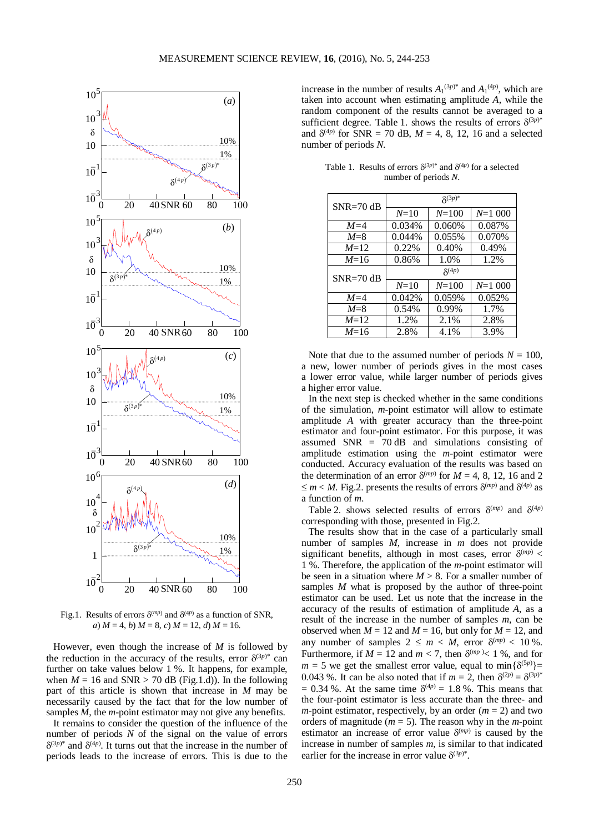

Fig.1. Results of errors  $\delta^{(mp)}$  and  $\delta^{(4p)}$  as a function of SNR, *a*)  $M = 4$ , *b*)  $M = 8$ , *c*)  $M = 12$ , *d*)  $M = 16$ .

However, even though the increase of *M* is followed by the reduction in the accuracy of the results, error  $\delta^{(3p)*}$  can further on take values below 1 %. It happens, for example, when  $M = 16$  and SNR  $> 70$  dB (Fig.1.d)). In the following part of this article is shown that increase in *M* may be necessarily caused by the fact that for the low number of samples *M*, the *m*-point estimator may not give any benefits.

It remains to consider the question of the influence of the number of periods *N* of the signal on the value of errors  $\delta^{(3p)*}$  and  $\delta^{(4p)}$ . It turns out that the increase in the number of periods leads to the increase of errors. This is due to the

increase in the number of results  $A_1^{(3p)*}$  and  $A_1^{(4p)}$ , which are taken into account when estimating amplitude *A*, while the random component of the results cannot be averaged to a sufficient degree. Table 1. shows the results of errors  $\delta^{(3p)*}$ and  $\delta^{(4p)}$  for SNR = 70 dB,  $M = 4, 8, 12, 16$  and a selected number of periods *N*.

Table 1. Results of errors  $\delta^{(3p)*}$  and  $\delta^{(4p)}$  for a selected number of periods *N*.

| $SNR = 70 dB$ | $\delta^{(3p)*}$ |           |          |  |  |
|---------------|------------------|-----------|----------|--|--|
|               | $N = 10$         | $N = 100$ | $N=1000$ |  |  |
| $M=4$         | 0.034%           | 0.060%    | 0.087%   |  |  |
| $M=8$         | 0.044%           | 0.055%    | 0.070%   |  |  |
| $M=12$        | 0.22%            | 0.40%     | 0.49%    |  |  |
| $M=16$        | 0.86%            |           | 1.2%     |  |  |
| $SNR = 70$ dB | $\delta^{(4p)}$  |           |          |  |  |
|               | $N = 10$         | $N = 100$ | $N=1000$ |  |  |
| $M=4$         | 0.042%           | 0.059%    | 0.052%   |  |  |
| $M=8$         | 0.54%            | 0.99%     | 1.7%     |  |  |
| $M=12$        | 1.2%             | 2.1%      | 2.8%     |  |  |
| $M=16$        | 2.8%             | 4.1%      | 3.9%     |  |  |

Note that due to the assumed number of periods  $N = 100$ . a new, lower number of periods gives in the most cases a lower error value, while larger number of periods gives a higher error value.

In the next step is checked whether in the same conditions of the simulation, *m*-point estimator will allow to estimate amplitude *A* with greater accuracy than the three-point estimator and four-point estimator. For this purpose, it was assumed SNR  $= 70$  dB and simulations consisting of amplitude estimation using the *m*-point estimator were conducted. Accuracy evaluation of the results was based on the determination of an error  $\delta^{(mp)}$  for  $M = 4, 8, 12, 16$  and 2  $\leq m < M$ . Fig.2. presents the results of errors  $\delta^{(mp)}$  and  $\delta^{(4p)}$  as a function of *m*.

Table 2. shows selected results of errors  $\delta^{(mp)}$  and  $\delta^{(4p)}$ corresponding with those, presented in Fig.2.

The results show that in the case of a particularly small number of samples *M*, increase in *m* does not provide significant benefits, although in most cases, error  $\delta^{(mp)}$  < 1 %. Therefore, the application of the *m*-point estimator will be seen in a situation where  $M > 8$ . For a smaller number of samples *M* what is proposed by the author of three-point estimator can be used. Let us note that the increase in the accuracy of the results of estimation of amplitude *A*, as a result of the increase in the number of samples *m*, can be observed when  $M = 12$  and  $M = 16$ , but only for  $M = 12$ , and any number of samples  $2 \le m < M$ , error  $\delta^{(mp)} < 10\%$ . Furthermore, if  $M = 12$  and  $m < 7$ , then  $\delta^{(mp)} < 1$  %, and for  $m = 5$  we get the smallest error value, equal to min $\{\delta^{(5p)}\}$ 0.043 %. It can be also noted that if  $m = 2$ , then  $\delta^{(2p)} = \delta^{(3p)*}$  $= 0.34$  %. At the same time  $\delta^{(4p)} = 1.8$  %. This means that the four-point estimator is less accurate than the three- and *m*-point estimator, respectively, by an order  $(m = 2)$  and two orders of magnitude ( $m = 5$ ). The reason why in the *m*-point estimator an increase of error value  $\delta^{(mp)}$  is caused by the increase in number of samples *m*, is similar to that indicated earlier for the increase in error value  $\delta^{(3p)^*}$ .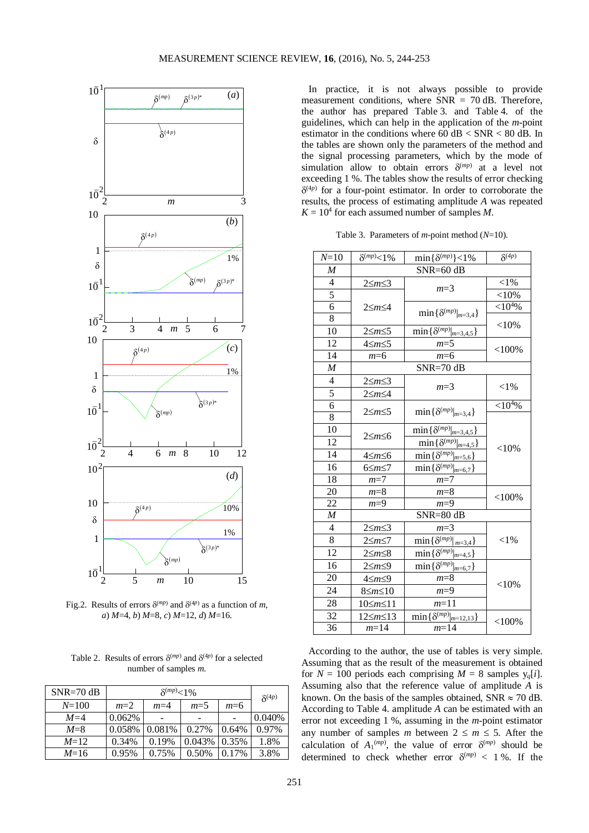

Fig.2. Results of errors  $\delta^{(mp)}$  and  $\delta^{(4p)}$  as a function of *m*, *a*) *M*=4, *b*) *M*=8, *c*) *M*=12, *d*) *M*=16.

Table 2. Results of errors  $\delta^{(mp)}$  and  $\delta^{(4p)}$  for a selected number of samples *m*.

| $SNR = 70$ dB | $\delta^{(mp)} < 1\%$ |        |        |          | $\delta^{(4p)}$ |
|---------------|-----------------------|--------|--------|----------|-----------------|
| $N = 100$     | $m=2$                 | $m=4$  | $m=5$  | $m=6$    |                 |
| $M=4$         | 0.062%                |        |        |          | 0.040%          |
| $M=8$         | 0.058%                | 0.081% | 0.27%  | 0.64%    | 0.97%           |
| $M=12$        | 0.34%                 | 0.19%  | 0.043% | 0.35%    | 1.8%            |
| $M=16$        | 0.95%                 | 0.75%  | 0.50%  | $0.17\%$ | 3.8%            |

In practice, it is not always possible to provide measurement conditions, where  $SNR = 70$  dB. Therefore, the author has prepared Table 3. and Table 4. of the guidelines, which can help in the application of the *m*-point estimator in the conditions where 60 dB < SNR < 80 dB. In the tables are shown only the parameters of the method and the signal processing parameters, which by the mode of simulation allow to obtain errors  $\delta^{(mp)}$  at a level not exceeding 1 %. The tables show the results of error checking  $\delta^{(4p)}$  for a four-point estimator. In order to corroborate the results, the process of estimating amplitude *A* was repeated  $K = 10<sup>4</sup>$  for each assumed number of samples *M*.

Table 3. Parameters of *m*-point method (*N*=10).

|                  |                     |                                                 | $\delta^{(4p)}$            |  |  |
|------------------|---------------------|-------------------------------------------------|----------------------------|--|--|
| $N = 10$         | $\delta^{(mp)}<1\%$ | $\min\{\delta^{(mp)}\} < 1\%$                   |                            |  |  |
| $\boldsymbol{M}$ | $SNR = 60$ dB       |                                                 |                            |  |  |
| 4                | $2\leq m\leq 3$     | $m=3$                                           | ${<}1\%$                   |  |  |
| $\overline{5}$   |                     |                                                 | $<$ 10%                    |  |  |
| 6                | $2\leq m\leq 4$     |                                                 | ${<}10^{4}\%$              |  |  |
| $\overline{8}$   |                     | $\min\{\delta^{(mp)} _{m=3,4}\}$                | $<$ 10%                    |  |  |
| 10               | $2\leq m\leq 5$     | $\min\{\delta^{(mp)} _{m=3,4,5}\}$              |                            |  |  |
| 12               | $4\leq m \leq 5$    | $m=5$                                           | $<$ 100%                   |  |  |
| 14               | $m=6$               | $m=6$                                           |                            |  |  |
| $\boldsymbol{M}$ |                     | $SNR = 70$ dB                                   |                            |  |  |
| $\overline{4}$   | $2\leq m\leq 3$     |                                                 |                            |  |  |
| $\overline{5}$   | $2\leq m\leq 4$     | $m=3$                                           | ${<}1\%$                   |  |  |
| $\overline{6}$   |                     |                                                 | $<\!\!10^{\overline{4}\%}$ |  |  |
| 8                | $2\leq m\leq 5$     | $\min\{\delta^{(mp)} _{m=3,4}\}$                |                            |  |  |
| 10               |                     | $\overline{\min{\{\delta^{(mp)} _{m=3,4,5}\}}}$ |                            |  |  |
| 12               | $2\leq m\leq 6$     | $\overline{\min\{\delta^{(mp)} _{m=4,5}\}}$     | ${<}10%$                   |  |  |
| 14               | 4≤m≤6               | $\min\{\delta^{(mp)} _{m=5,6}\}$                |                            |  |  |
| 16               | $6 \leq m \leq 7$   | $\min\{\delta^{(mp)} _{m=6,7}\}$                |                            |  |  |
| 18               | $m=7$               | $m=7$                                           |                            |  |  |
| 20               | $m=8$               | $m=8$                                           |                            |  |  |
| 22               | $m=9$               | $m=9$                                           | $<$ 100%                   |  |  |
| M                |                     | $SNR = 80$ dB                                   |                            |  |  |
| $\overline{4}$   | 2≤m≤3               | $m=3$                                           |                            |  |  |
| 8                | 2≤m≤7               | $\min\{\delta^{(mp)} _{m=3,4}\}$                | $<$ 1%                     |  |  |
| 12               | 2≤m≤8               | $\overline{\min\{\delta^{(mp)} _{m=4,5}\}}$     |                            |  |  |
| 16               | $2\leq m\leq 9$     | $\min\{\delta^{(mp)} _{m=6,7}\}$                |                            |  |  |
| 20               | $4\leq m \leq 9$    | $m=8$                                           |                            |  |  |
| 24               | 8≤m≤10              | $m=9$                                           | $<$ 10%                    |  |  |
| 28               | 10≤m≤11             | $m=11$                                          |                            |  |  |
| 32               | $12 \le m \le 13$   | $\min\{\delta^{(mp)} _{m=12,13}\}$              | $<$ 100%                   |  |  |
| 36               | $m=14$              | $m = 14$                                        |                            |  |  |

According to the author, the use of tables is very simple. Assuming that as the result of the measurement is obtained for  $N = 100$  periods each comprising  $M = 8$  samples  $y_q[i]$ . Assuming also that the reference value of amplitude *A* is known. On the basis of the samples obtained, SNR  $\approx$  70 dB. According to Table 4. amplitude *A* can be estimated with an error not exceeding 1 %, assuming in the *m*-point estimator any number of samples *m* between  $2 \le m \le 5$ . After the calculation of  $A_1^{(mp)}$ , the value of error  $\delta^{(mp)}$  should be determined to check whether error  $\delta^{(mp)} < 1$ %. If the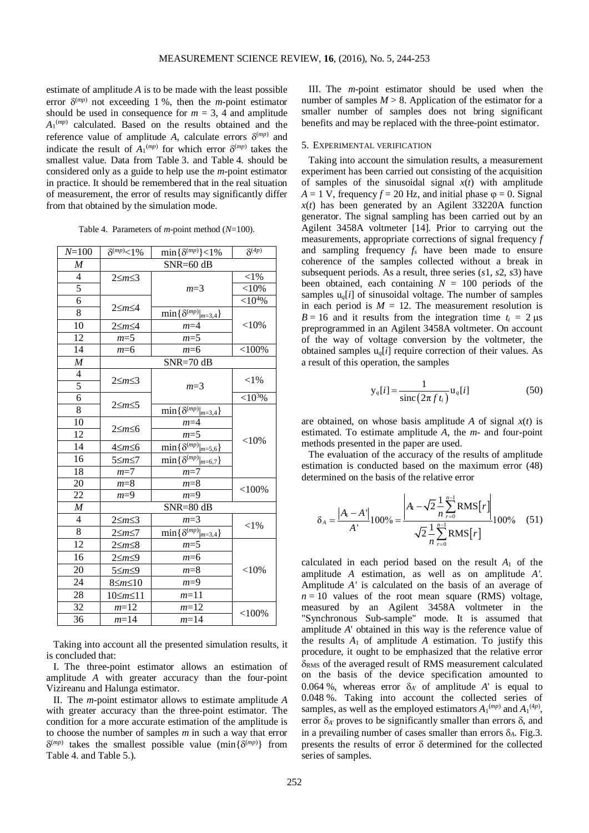estimate of amplitude *A* is to be made with the least possible error  $\delta^{(mp)}$  not exceeding 1 %, then the *m*-point estimator should be used in consequence for  $m = 3$ , 4 and amplitude *A*1 (*mp*) calculated. Based on the results obtained and the reference value of amplitude *A*, calculate errors  $\delta^{(mp)}$  and indicate the result of  $A_1^{(mp)}$  for which error  $\delta^{(mp)}$  takes the smallest value. Data from Table 3. and Table 4. should be considered only as a guide to help use the *m*-point estimator in practice. It should be remembered that in the real situation of measurement, the error of results may significantly differ from that obtained by the simulation mode.

| Table 4. Parameters of <i>m</i> -point method ( $N=100$ ). |  |  |
|------------------------------------------------------------|--|--|
|                                                            |  |  |

| $N = 100$        | $\delta^{(mp)} < 1\%$ | $\min\{\delta^{(mp)}\}$ < 1%                  | $\delta^{(4p)}$ |  |  |
|------------------|-----------------------|-----------------------------------------------|-----------------|--|--|
| M                |                       | $SNR = 60$ dB                                 |                 |  |  |
| 4                | $2\leq m\leq 3$       |                                               | ${<}1\%$        |  |  |
| 5                |                       | $m=3$                                         | $<$ 10%         |  |  |
| $\overline{6}$   |                       |                                               | ${<}10^{4}\%$   |  |  |
| $\overline{8}$   | $2\leq m\leq 4$       | $\overline{\min\{\delta^{(mp)} _{m=3,4}\}}$   |                 |  |  |
| 10               | $2\leq m\leq 4$       | $m=4$                                         | $<$ 10%         |  |  |
| 12               | $m=5$                 | $m=5$                                         |                 |  |  |
| $\overline{14}$  | $m=6$                 | $m=6$                                         | $<$ 100%        |  |  |
| $\boldsymbol{M}$ |                       | $SNR = 70$ dB                                 |                 |  |  |
| $\overline{4}$   | $2\leq m\leq 3$       |                                               | ${<}1\%$        |  |  |
| 5                |                       | $m=3$                                         |                 |  |  |
| $\overline{6}$   | $2\leq m\leq 5$       |                                               | ${<}10^{3}\%$   |  |  |
| 8                |                       | $\overline{\min\{\delta^{(mp)} _{m=3,4}\}}$   |                 |  |  |
| 10               | $2\leq m\leq 6$       | $m=4$                                         |                 |  |  |
| 12               |                       | $m=5$                                         | ${<}10\%$       |  |  |
| 14               | 4≤m≤6                 | $\overline{\min{\{\delta^{(mp)} _{m=5,6}\}}}$ |                 |  |  |
| 16               | 5≤m≤7                 | $\overline{\min{\{\delta^{(mp)} _{m=6,7}\}}}$ |                 |  |  |
| 18               | $m=7$                 | $m=7$                                         |                 |  |  |
| 20               | $m=8$                 | $m=8$                                         | $<$ 100%        |  |  |
| 22               | $m=9$                 | $m=9$                                         |                 |  |  |
| $\boldsymbol{M}$ |                       | $SNR = 80$ dB                                 |                 |  |  |
| $\overline{4}$   | 2≤m≤3                 | $m=3$                                         | ${<}1\%$        |  |  |
| $\overline{8}$   | 2≤m≤7                 | $\min\{\delta^{(mp)} _{m=3,4}\}$              |                 |  |  |
| 12               | 2≤m≤8                 | $m=5$                                         |                 |  |  |
| 16               | $2\leq m\leq 9$       | $m=6$                                         |                 |  |  |
| 20               | 5≤m≤9                 | $m=8$                                         | ${<}10\%$       |  |  |
| 24               | $8 \leq m \leq 10$    | $m=9$                                         |                 |  |  |
| 28               | 10≤m≤11               | $m=11$                                        |                 |  |  |
| 32               | $m=12$                | $m=12$                                        |                 |  |  |
| 36               | $m=14$                | $m=14$                                        | $<$ 100%        |  |  |

Taking into account all the presented simulation results, it is concluded that:

I. The three-point estimator allows an estimation of amplitude *A* with greater accuracy than the four-point Vizireanu and Halunga estimator.

II. The *m*-point estimator allows to estimate amplitude *A* with greater accuracy than the three-point estimator. The condition for a more accurate estimation of the amplitude is to choose the number of samples *m* in such a way that error  $\delta^{(mp)}$  takes the smallest possible value (min $\{\delta^{(mp)}\}$  from Table 4. and Table 5.).

III. The *m*-point estimator should be used when the number of samples  $M > 8$ . Application of the estimator for a smaller number of samples does not bring significant benefits and may be replaced with the three-point estimator.

# 5. EXPERIMENTAL VERIFICATION

Taking into account the simulation results, a measurement experiment has been carried out consisting of the acquisition of samples of the sinusoidal signal  $x(t)$  with amplitude  $A = 1$  V, frequency  $f = 20$  Hz, and initial phase  $\varphi = 0$ . Signal  $x(t)$  has been generated by an Agilent 33220A function generator. The signal sampling has been carried out by an Agilent 3458A voltmeter [14]. Prior to carrying out the measurements, appropriate corrections of signal frequency *f* and sampling frequency *fs* have been made to ensure coherence of the samples collected without a break in subsequent periods. As a result, three series (*s*1, *s*2, *s*3) have been obtained, each containing  $N = 100$  periods of the samples  $u_q[i]$  of sinusoidal voltage. The number of samples in each period is  $M = 12$ . The measurement resolution is  $B = 16$  and it results from the integration time  $t_i = 2 \mu s$ preprogrammed in an Agilent 3458A voltmeter. On account of the way of voltage conversion by the voltmeter, the obtained samples  $u_q[i]$  require correction of their values. As a result of this operation, the samples

$$
y_q[i] = \frac{1}{\text{sinc}\left(2\pi f t_i\right)} u_q[i] \tag{50}
$$

are obtained, on whose basis amplitude *A* of signal *x*(*t*) is estimated. To estimate amplitude *A*, the *m*- and four-point methods presented in the paper are used.

The evaluation of the accuracy of the results of amplitude estimation is conducted based on the maximum error (48) determined on the basis of the relative error

$$
\delta_A = \frac{|A_1 - A^*|}{A'} 100\% = \frac{\left|A_1 - \sqrt{2} \frac{1}{n} \sum_{r=0}^{n-1} \text{RMS}[r] \right|}{\sqrt{2} \frac{1}{n} \sum_{r=0}^{n-1} \text{RMS}[r]} 100\% \quad (51)
$$

calculated in each period based on the result *A*<sup>1</sup> of the amplitude *A* estimation, as well as on amplitude *A'*. Amplitude *A'* is calculated on the basis of an average of  $n = 10$  values of the root mean square (RMS) voltage, measured by an Agilent 3458A voltmeter in the "Synchronous Sub-sample" mode. It is assumed that amplitude *A*' obtained in this way is the reference value of the results  $A_1$  of amplitude  $A$  estimation. To justify this procedure, it ought to be emphasized that the relative error  $\delta_{RMS}$  of the averaged result of RMS measurement calculated on the basis of the device specification amounted to 0.064 %, whereas error  $\delta_{A}$  of amplitude A' is equal to 0.048 %. Taking into account the collected series of samples, as well as the employed estimators  $A_1^{(mp)}$  and  $A_1^{(4p)}$ , error  $\delta_{A'}$  proves to be significantly smaller than errors  $\delta$ , and in a prevailing number of cases smaller than errors  $\delta_A$ . Fig.3. presents the results of error δ determined for the collected series of samples.